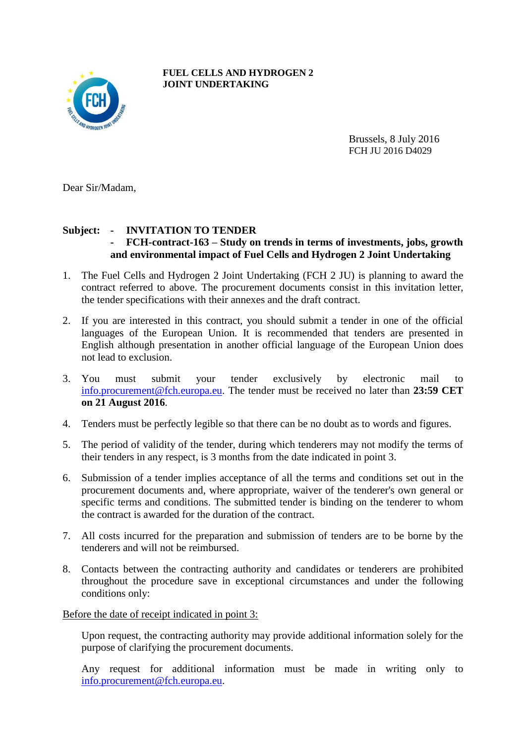

**FUEL CELLS AND HYDROGEN 2 JOINT UNDERTAKING**

> Brussels, 8 July 2016 FCH JU 2016 D4029

Dear Sir/Madam,

## **Subject: - INVITATION TO TENDER**

- **- FCH-contract-163 – Study on trends in terms of investments, jobs, growth and environmental impact of Fuel Cells and Hydrogen 2 Joint Undertaking**
- 1. The Fuel Cells and Hydrogen 2 Joint Undertaking (FCH 2 JU) is planning to award the contract referred to above. The procurement documents consist in this invitation letter, the tender specifications with their annexes and the draft contract.
- 2. If you are interested in this contract, you should submit a tender in one of the official languages of the European Union. It is recommended that tenders are presented in English although presentation in another official language of the European Union does not lead to exclusion.
- 3. You must submit your tender exclusively by electronic mail to [info.procurement@fch.europa.eu.](mailto:info.procurement@fch.europa.eu) The tender must be received no later than **23:59 CET on 21 August 2016**.
- 4. Tenders must be perfectly legible so that there can be no doubt as to words and figures.
- 5. The period of validity of the tender, during which tenderers may not modify the terms of their tenders in any respect, is 3 months from the date indicated in point 3.
- 6. Submission of a tender implies acceptance of all the terms and conditions set out in the procurement documents and, where appropriate, waiver of the tenderer's own general or specific terms and conditions. The submitted tender is binding on the tenderer to whom the contract is awarded for the duration of the contract.
- 7. All costs incurred for the preparation and submission of tenders are to be borne by the tenderers and will not be reimbursed.
- 8. Contacts between the contracting authority and candidates or tenderers are prohibited throughout the procedure save in exceptional circumstances and under the following conditions only:

Before the date of receipt indicated in point 3:

Upon request, the contracting authority may provide additional information solely for the purpose of clarifying the procurement documents.

Any request for additional information must be made in writing only to [info.procurement@fch.europa.eu.](mailto:info.procurement@fch.europa.eu)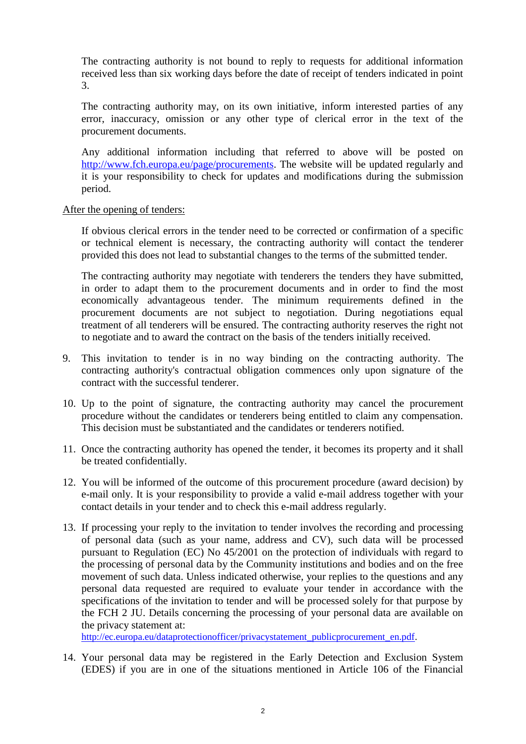The contracting authority is not bound to reply to requests for additional information received less than six working days before the date of receipt of tenders indicated in point 3.

The contracting authority may, on its own initiative, inform interested parties of any error, inaccuracy, omission or any other type of clerical error in the text of the procurement documents.

Any additional information including that referred to above will be posted on [http://www.fch.europa.eu/page/procurements.](http://www.fch.europa.eu/page/procurements) The website will be updated regularly and it is your responsibility to check for updates and modifications during the submission period.

## After the opening of tenders:

If obvious clerical errors in the tender need to be corrected or confirmation of a specific or technical element is necessary, the contracting authority will contact the tenderer provided this does not lead to substantial changes to the terms of the submitted tender.

The contracting authority may negotiate with tenderers the tenders they have submitted, in order to adapt them to the procurement documents and in order to find the most economically advantageous tender. The minimum requirements defined in the procurement documents are not subject to negotiation. During negotiations equal treatment of all tenderers will be ensured. The contracting authority reserves the right not to negotiate and to award the contract on the basis of the tenders initially received.

- 9. This invitation to tender is in no way binding on the contracting authority. The contracting authority's contractual obligation commences only upon signature of the contract with the successful tenderer.
- 10. Up to the point of signature, the contracting authority may cancel the procurement procedure without the candidates or tenderers being entitled to claim any compensation. This decision must be substantiated and the candidates or tenderers notified.
- 11. Once the contracting authority has opened the tender, it becomes its property and it shall be treated confidentially.
- 12. You will be informed of the outcome of this procurement procedure (award decision) by e-mail only. It is your responsibility to provide a valid e-mail address together with your contact details in your tender and to check this e-mail address regularly.
- 13. If processing your reply to the invitation to tender involves the recording and processing of personal data (such as your name, address and CV), such data will be processed pursuant to Regulation (EC) No 45/2001 on the protection of individuals with regard to the processing of personal data by the Community institutions and bodies and on the free movement of such data. Unless indicated otherwise, your replies to the questions and any personal data requested are required to evaluate your tender in accordance with the specifications of the invitation to tender and will be processed solely for that purpose by the FCH 2 JU. Details concerning the processing of your personal data are available on the privacy statement at:

[http://ec.europa.eu/dataprotectionofficer/privacystatement\\_publicprocurement\\_en.pdf.](http://ec.europa.eu/dataprotectionofficer/privacystatement_publicprocurement_en.pdf)

14. Your personal data may be registered in the Early Detection and Exclusion System (EDES) if you are in one of the situations mentioned in Article 106 of the Financial